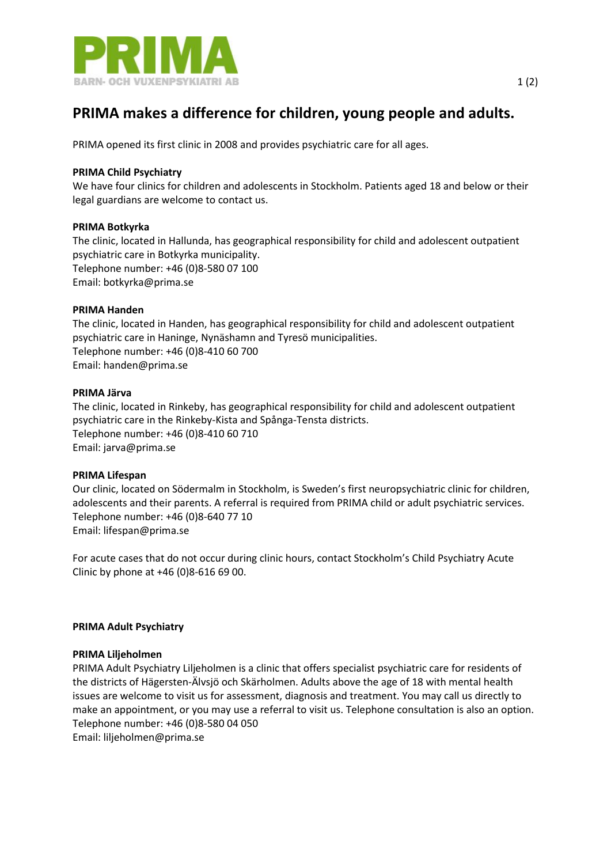

# **PRIMA makes a difference for children, young people and adults.**

PRIMA opened its first clinic in 2008 and provides psychiatric care for all ages.

## **PRIMA Child [Psychiatry](http://www.prima.se/?page_id=212)**

We have four clinics for children and adolescents in Stockholm. Patients aged 18 and below or their legal guardians are welcome to contact us.

# **PRIMA [Botkyrka](http://www.prima.se/?page_id=706)**

The clinic, located in Hallunda, has geographical responsibility for child and adolescent outpatient psychiatric care in Botkyrka municipality. Telephone number: +46 (0)8-580 07 100 Email: [botkyrka@prima.se](mailto:botkyrka@prima.se)

#### **PRIMA [Handen](http://www.prima.se/?page_id=225)**

The clinic, located in Handen, has geographical responsibility for child and adolescent outpatient psychiatric care in Haninge, Nynäshamn and Tyresö municipalities. Telephone number: +46 (0)8-410 60 700 Email: [handen@prima.se](mailto:handen@prima.se)

# **[PRIMA](http://www.prima.se/?page_id=231) Järva**

The clinic, located in Rinkeby, has geographical responsibility for child and adolescent outpatient psychiatric care in the Rinkeby-Kista and Spånga-Tensta districts. Telephone number: +46 (0)8-410 60 710 Email: [jarva@prima.se](mailto:jarva@prima.se)

#### **PRIMA [Lifespan](http://www.prima.se/?page_id=221)**

Our clinic, located on Södermalm in Stockholm, is Sweden's first neuropsychiatric clinic for children, adolescents and their parents. A referral is required from PRIMA child or adult psychiatric services. Telephone number: +46 (0)8-640 77 10 Email: [lifespan@prima.se](mailto:lifespan@prima.se)

For acute cases that do not occur during clinic hours, contact Stockholm's Child Psychiatry Acute Clinic by phone at +46 (0)8-616 69 00.

#### **PRIMA Adult [Psychiatry](http://www.prima.se/?page_id=286)**

#### **PRIMA [Liljeholmen](http://www.prima.se/?page_id=329)**

PRIMA Adult Psychiatry Liljeholmen is a clinic that offers specialist psychiatric care for residents of the districts of Hägersten-Älvsjö och Skärholmen. Adults above the age of 18 with mental health issues are welcome to visit us for assessment, diagnosis and treatment. You may call us directly to make an appointment, or you may use a referral to visit us. Telephone consultation is also an option. Telephone number: +46 (0)8-580 04 050 Email: [liljeholmen@prima.se](mailto:liljeholmen@prima.se)